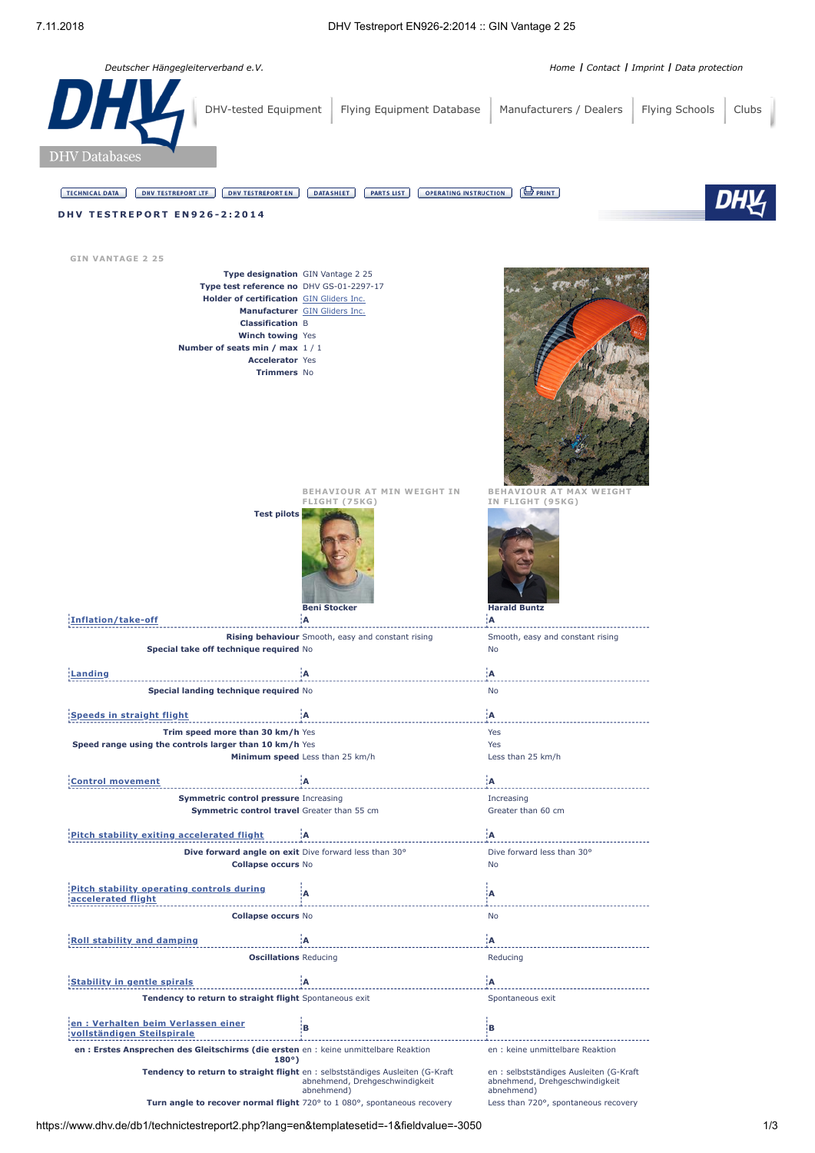

| en : Erstes Ansprechen des Gleitschirms (die ersten en : keine unmittelbare Reaktion<br>$180^{\circ}$                        | en : keine unmittelbare Reaktion                                                       |
|------------------------------------------------------------------------------------------------------------------------------|----------------------------------------------------------------------------------------|
| Tendency to return to straight flight en: selbstständiges Ausleiten (G-Kraft<br>abnehmend, Drehgeschwindigkeit<br>abnehmend) | en: selbstständiges Ausleiten (G-Kraft<br>abnehmend, Drehgeschwindigkeit<br>abnehmend) |
| Turn angle to recover normal flight 720° to 1 080°, spontaneous recovery                                                     | Less than 720°, spontaneous recovery                                                   |
| <u> 1990 - 1990 - 1990 - 1990 - 1990 - 1990 - 1990 - 1990 - 1990 - 1990 - 1990 - 1990 - 1990 - 1990 - 1990 - 199</u>         |                                                                                        |

**[Stability](javascript:void(0);) in gentle spirals A A**

**[accelerated](javascript:void(0);) flight <sup>A</sup> <sup>A</sup>**

**Roll stability and [damping](javascript:void(0);) A A**

**en : Verhalten beim Verlassen einer [vollständigen](javascript:void(0);) Steilspirale <sup>B</sup> <sup>B</sup>**

**Collapse occurs** No No

**Tendency to return to straight flight** Spontaneous exit Spontaneous exit Spontaneous exit

**Oscillations** Reducing **Reducing** Reducing

**Pitch stability operating controls during**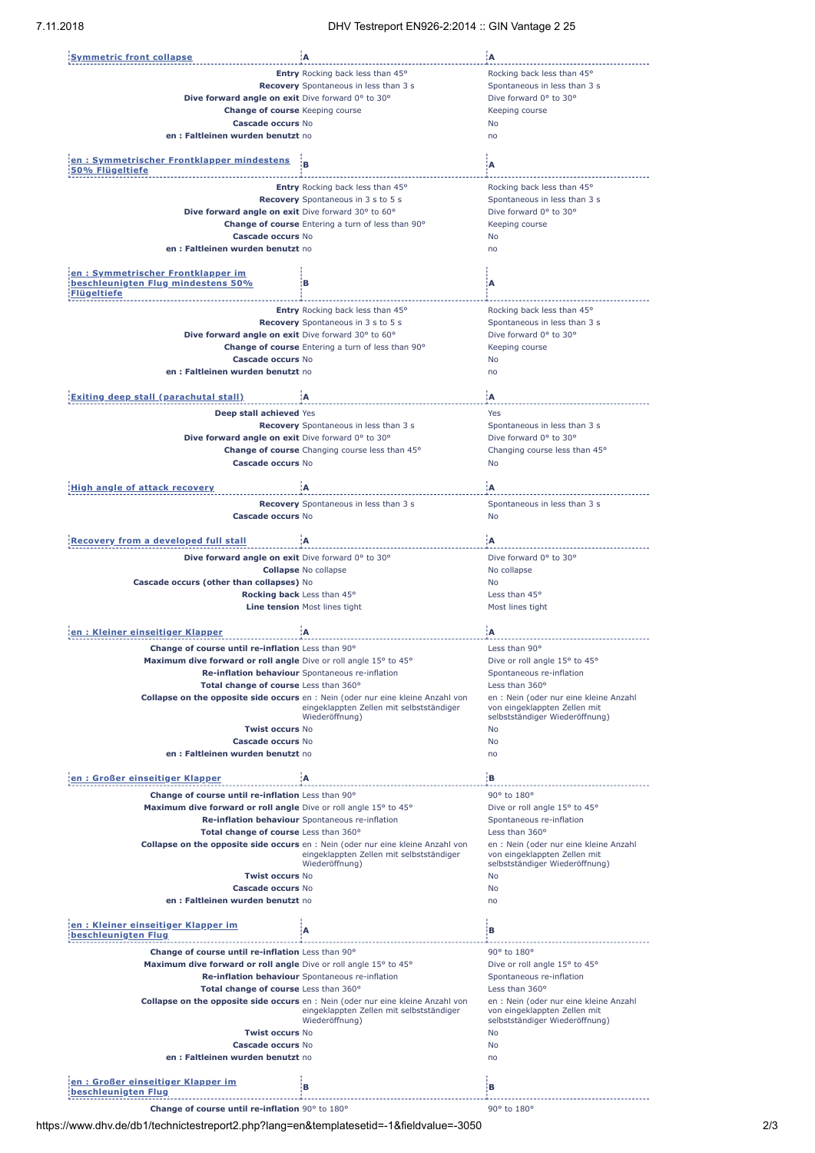| <b>Symmetric front collapse</b>                                    | ۱A.                                                                                                                                | :A                                                                     |
|--------------------------------------------------------------------|------------------------------------------------------------------------------------------------------------------------------------|------------------------------------------------------------------------|
|                                                                    | Entry Rocking back less than 45°                                                                                                   | Rocking back less than 45°                                             |
|                                                                    | Recovery Spontaneous in less than 3 s                                                                                              | Spontaneous in less than 3 s                                           |
| Dive forward angle on exit Dive forward 0° to 30°                  |                                                                                                                                    | Dive forward 0° to 30°                                                 |
| <b>Change of course</b> Keeping course                             |                                                                                                                                    | Keeping course                                                         |
| Cascade occurs No                                                  |                                                                                                                                    | No                                                                     |
| en: Faltleinen wurden benutzt no                                   |                                                                                                                                    | no                                                                     |
|                                                                    |                                                                                                                                    |                                                                        |
| en: Symmetrischer Frontklapper mindestens<br>50% Flügeltiefe       | B                                                                                                                                  | А                                                                      |
|                                                                    |                                                                                                                                    |                                                                        |
|                                                                    | Entry Rocking back less than 45°                                                                                                   | Rocking back less than 45°                                             |
|                                                                    | Recovery Spontaneous in 3 s to 5 s                                                                                                 | Spontaneous in less than 3 s                                           |
| Dive forward angle on exit Dive forward 30° to 60°                 | Change of course Entering a turn of less than 90°                                                                                  | Dive forward 0° to 30°                                                 |
| <b>Cascade occurs No</b>                                           |                                                                                                                                    | Keeping course<br>No                                                   |
| en: Faltleinen wurden benutzt no                                   |                                                                                                                                    | no                                                                     |
|                                                                    |                                                                                                                                    |                                                                        |
| en: Symmetrischer Frontklapper im                                  |                                                                                                                                    |                                                                        |
| beschleunigten Flug mindestens 50%                                 | в                                                                                                                                  | A                                                                      |
| <b>Flügeltiefe</b>                                                 |                                                                                                                                    |                                                                        |
|                                                                    | Entry Rocking back less than 45°                                                                                                   | Rocking back less than 45°                                             |
|                                                                    | Recovery Spontaneous in 3 s to 5 s                                                                                                 | Spontaneous in less than 3 s                                           |
| Dive forward angle on exit Dive forward 30° to 60°                 |                                                                                                                                    | Dive forward 0° to 30°                                                 |
|                                                                    | Change of course Entering a turn of less than 90°                                                                                  | Keeping course                                                         |
| Cascade occurs No                                                  |                                                                                                                                    | No                                                                     |
| en: Faltleinen wurden benutzt no                                   |                                                                                                                                    | no                                                                     |
|                                                                    |                                                                                                                                    |                                                                        |
| <b>Exiting deep stall (parachutal stall)</b>                       | Α                                                                                                                                  | :A                                                                     |
| Deep stall achieved Yes                                            |                                                                                                                                    | Yes                                                                    |
|                                                                    | Recovery Spontaneous in less than 3 s                                                                                              | Spontaneous in less than 3 s                                           |
|                                                                    |                                                                                                                                    | Dive forward 0° to 30°                                                 |
| Dive forward angle on exit Dive forward 0° to 30°                  | Change of course Changing course less than 45°                                                                                     | Changing course less than 45°                                          |
| Cascade occurs No                                                  |                                                                                                                                    | No                                                                     |
|                                                                    |                                                                                                                                    |                                                                        |
| <b>High angle of attack recovery</b>                               | A                                                                                                                                  | :A                                                                     |
|                                                                    |                                                                                                                                    |                                                                        |
|                                                                    | <b>Recovery</b> Spontaneous in less than 3 s                                                                                       | Spontaneous in less than 3 s                                           |
| Cascade occurs No                                                  |                                                                                                                                    | No                                                                     |
| <b>Recovery from a developed full stall</b>                        | ۱A                                                                                                                                 | ۰A                                                                     |
|                                                                    |                                                                                                                                    |                                                                        |
| Dive forward angle on exit Dive forward 0° to 30°                  |                                                                                                                                    | Dive forward 0° to 30°                                                 |
|                                                                    | <b>Collapse No collapse</b>                                                                                                        | No collapse                                                            |
| Cascade occurs (other than collapses) No                           |                                                                                                                                    | <b>No</b>                                                              |
|                                                                    | Rocking back Less than 45°                                                                                                         | Less than 45°                                                          |
|                                                                    | Line tension Most lines tight                                                                                                      | Most lines tight                                                       |
|                                                                    |                                                                                                                                    |                                                                        |
| en: Kleiner einseitiger Klapper                                    | Α                                                                                                                                  | ÷Δ                                                                     |
| Change of course until re-inflation Less than 90°                  |                                                                                                                                    | Less than 90°                                                          |
| Maximum dive forward or roll angle Dive or roll angle 15° to 45°   |                                                                                                                                    | Dive or roll angle 15° to 45°                                          |
|                                                                    | Re-inflation behaviour Spontaneous re-inflation                                                                                    | Spontaneous re-inflation                                               |
| Total change of course Less than 360°                              |                                                                                                                                    | Less than 360°                                                         |
|                                                                    | <b>Collapse on the opposite side occurs</b> en : Nein (oder nur eine kleine Anzahl von                                             | en : Nein (oder nur eine kleine Anzahl                                 |
|                                                                    | eingeklappten Zellen mit selbstständiger<br>Wiederöffnung)                                                                         | von eingeklappten Zellen mit<br>selbstständiger Wiederöffnung)         |
| <b>Twist occurs No</b>                                             |                                                                                                                                    | No                                                                     |
| Cascade occurs No                                                  |                                                                                                                                    | <b>No</b>                                                              |
| en: Faltleinen wurden benutzt no                                   |                                                                                                                                    | no                                                                     |
|                                                                    |                                                                                                                                    |                                                                        |
| en: Großer einseitiger Klapper                                     | İΑ                                                                                                                                 | iв.                                                                    |
| Change of course until re-inflation Less than 90°                  |                                                                                                                                    | 90° to 180°                                                            |
| Maximum dive forward or roll angle Dive or roll angle 15° to 45°   |                                                                                                                                    | Dive or roll angle 15° to 45°                                          |
|                                                                    | Re-inflation behaviour Spontaneous re-inflation                                                                                    | Spontaneous re-inflation                                               |
| Total change of course Less than 360°                              |                                                                                                                                    | Less than 360°                                                         |
|                                                                    | <b>Collapse on the opposite side occurs</b> en : Nein (oder nur eine kleine Anzahl von                                             | en : Nein (oder nur eine kleine Anzahl                                 |
|                                                                    | eingeklappten Zellen mit selbstständiger                                                                                           | von eingeklappten Zellen mit                                           |
|                                                                    | Wiederöffnung)                                                                                                                     | selbstständiger Wiederöffnung)                                         |
| <b>Twist occurs No</b>                                             |                                                                                                                                    | No                                                                     |
| Cascade occurs No                                                  |                                                                                                                                    | No<br>no                                                               |
| en: Faltleinen wurden benutzt no                                   |                                                                                                                                    |                                                                        |
|                                                                    |                                                                                                                                    |                                                                        |
|                                                                    |                                                                                                                                    |                                                                        |
| <u>en : Kleiner einseitiger Klapper im </u><br>beschleunigten Flug | Α                                                                                                                                  | в                                                                      |
|                                                                    |                                                                                                                                    |                                                                        |
| Change of course until re-inflation Less than 90°                  |                                                                                                                                    | 90° to 180°                                                            |
| Maximum dive forward or roll angle Dive or roll angle 15° to 45°   |                                                                                                                                    | Dive or roll angle 15° to 45°                                          |
|                                                                    | Re-inflation behaviour Spontaneous re-inflation                                                                                    | Spontaneous re-inflation                                               |
| Total change of course Less than 360°                              |                                                                                                                                    | Less than 360°                                                         |
|                                                                    | <b>Collapse on the opposite side occurs</b> en : Nein (oder nur eine kleine Anzahl von<br>eingeklappten Zellen mit selbstständiger | en : Nein (oder nur eine kleine Anzahl<br>von eingeklappten Zellen mit |
|                                                                    | Wiederöffnung)                                                                                                                     | selbstständiger Wiederöffnung)                                         |
| <b>Twist occurs No</b>                                             |                                                                                                                                    | No                                                                     |
| Cascade occurs No                                                  |                                                                                                                                    | No                                                                     |
| en: Faltleinen wurden benutzt no                                   |                                                                                                                                    | no                                                                     |
|                                                                    |                                                                                                                                    |                                                                        |
| en: Großer einseitiger Klapper im<br>beschleunigten Flug           | в                                                                                                                                  | в                                                                      |

**Change of course until re-inflation** 90° to 180° **course until re-inflation** 90° to 180°

https://www.dhv.de/db1/technictestreport2.php?lang=en&templatesetid=-1&fieldvalue=-3050 2/3